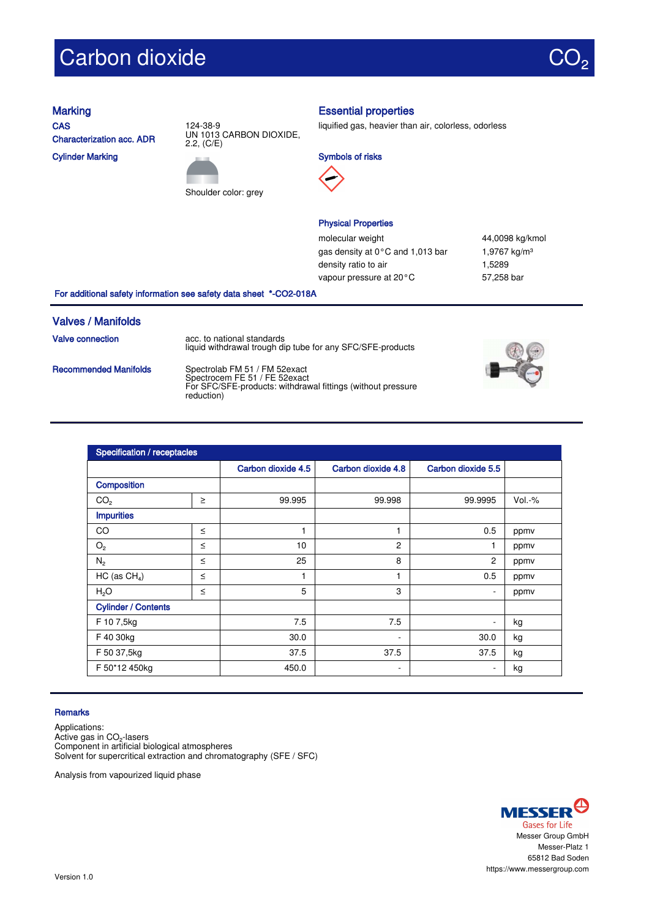# Carbon dioxide

**CAS** Characterization acc. ADR Cylinder Marking





## Marking **Essential properties**

liquified gas, heavier than air, colorless, odorless





## Physical Properties

molecular weight 44,0098 kg/kmol gas density at  $0^{\circ}$ C and 1,013 bar 1,9767 kg/m<sup>3</sup> density ratio to air 1,5289 vapour pressure at 20°C 57,258 bar

For additional safety information see safety data sheet \*-CO2-018A

## Valves / Manifolds

Valve connection acc. to national standards liquid withdrawal trough dip tube for any SFC/SFE-products

Recommended Manifolds Spectrolab FM 51 / FM 52exact Spectrocem FE 51 / FE 52exact For SFC/SFE-products: withdrawal fittings (without pressure reduction)



### **Remarks**

Applications: Active gas in CO₂-lasers Component in artificial biological atmospheres Solvent for supercritical extraction and chromatography (SFE / SFC)

Analysis from vapourized liquid phase